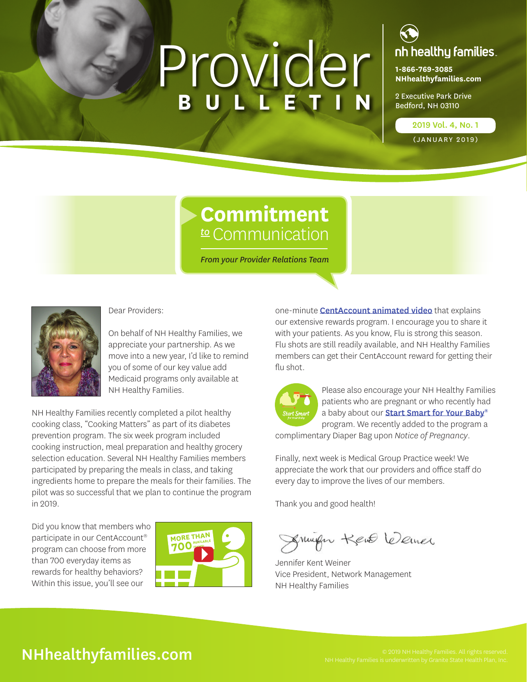# Provider **BULLETIN**



**1-866-769-3085 [NHhealthyfamilies.com](https://www.nhhealthyfamilies.com/)**

2 Executive Park Drive Bedford, NH 03110

2019 Vol. 4, No. 1

(JANUARY 2019)

### **Commitment** *to* Communication

*From your Provider Relations Team*



Dear Providers:

On behalf of NH Healthy Families, we appreciate your partnership. As we move into a new year, I'd like to remind you of some of our key value add **Medicaid programs only available at** NH Healthy Families.

NH Healthy Families recently completed a pilot healthy cooking class, "Cooking Matters" as part of its diabetes prevention program. The six week program included cooking instruction, meal preparation and healthy grocery selection education. Several NH Healthy Families members participated by preparing the meals in class, and taking ingredients home to prepare the meals for their families. The pilot was so successful that we plan to continue the program in 2019.

Did you know that members who participate in our CentAccount® program can choose from more than 700 everyday items as rewards for healthy behaviors? Within this issue, you'll see our



one-minute **[CentAccount animated video](https://www.youtube.com/embed/8Zg2vdS8HX0?rel=0&autoplay=1)** that explains our extensive rewards program. I encourage you to share it with your patients. As you know, Flu is strong this season. Flu shots are still readily available, and NH Healthy Families members can get their CentAccount reward for getting their flu shot.



Please also encourage your NH Healthy Families patients who are pregnant or who recently had a baby about our **[S](https://www.nhhealthyfamilies.com/content/dam/centene/NH%20Healthy%20Families/Medicaid/pdfs/Start-Smart-Brochure-Final.pdf)[tart Smart for Your Baby](https://www.nhhealthyfamilies.com/members/medicaid/benefits-services/benefits-overview.html)[®](https://www.nhhealthyfamilies.com/content/dam/centene/NH%20Healthy%20Families/Medicaid/pdfs/Start-Smart-Brochure-Final.pdf)** program. We recently added to the program a

complimentary Diaper Bag upon *Notice of Pregnancy*.

Finally, next week is Medical Group Practice week! We appreciate the work that our providers and office staff do every day to improve the lives of our members.

Thank you and good health!

Sumfor Kent levener

Jennifer Kent Weiner Vice President, Network Management NH Healthy Families

### NHhealthy Families. All rights reserved.<br>NH Healthy Families is underwritten by Granite State Health Plan, Inc.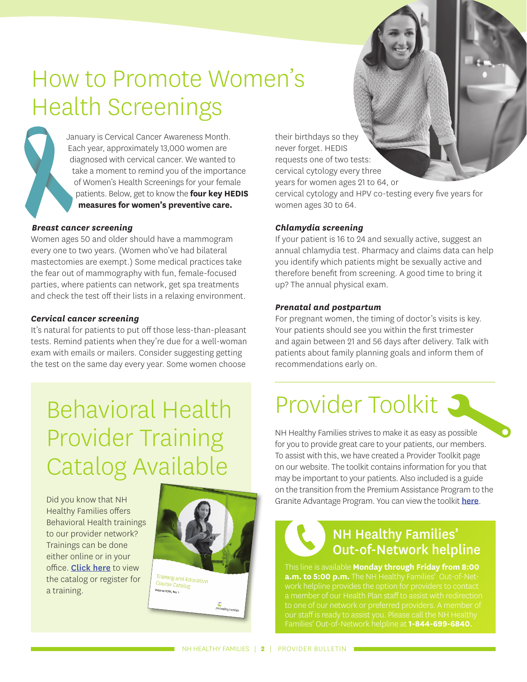# How to Promote Women's Health Screenings

January is Cervical Cancer Awareness Month. Each year, approximately 13,000 women are diagnosed with cervical cancer. We wanted to take a moment to remind you of the importance of Women's Health Screenings for your female patients. Below, get to know the **four key HEDIS measures for women's preventive care.**

#### *Breast cancer screening*

Women ages 50 and older should have a mammogram every one to two years. (Women who've had bilateral mastectomies are exempt.) Some medical practices take the fear out of mammography with fun, female-focused parties, where patients can network, get spa treatments and check the test off their lists in a relaxing environment.

#### *Cervical cancer screening*

It's natural for patients to put off those less-than-pleasant tests. Remind patients when they're due for a well-woman exam with emails or mailers. Consider suggesting getting the test on the same day every year. Some women choose

# Behavioral Health Provider Training Catalog Available

Did you know that NH Healthy Families offers Behavioral Health trainings to our provider network? Trainings can be done either online or in your office. **[Click here](https://www.nhhealthyfamilies.com/content/dam/centene/NH%20Healthy%20Families/Medicaid/pdfs/training-catalog-NH.pdf)** to view the catalog or register for a training.



their birthdays so they never forget. HEDIS requests one of two tests: cervical cytology every three years for women ages 21 to 64, or cervical cytology and HPV co-testing every five years for women ages 30 to 64.

#### *Chlamydia screening*

If your patient is 16 to 24 and sexually active, suggest an annual chlamydia test. Pharmacy and claims data can help you identify which patients might be sexually active and therefore benefit from screening. A good time to bring it up? The annual physical exam.

#### *Prenatal and postpartum*

For pregnant women, the timing of doctor's visits is key. Your patients should see you within the first trimester and again between 21 and 56 days after delivery. Talk with patients about family planning goals and inform them of recommendations early on.

### Provider Toolkit S

NH Healthy Families strives to make it as easy as possible for you to provide great care to your patients, our members. To assist with this, we have created a Provider Toolkit page on our website. The toolkit contains information for you that may be important to your patients. Also included is a guide on the transition from the Premium Assistance Program to the Granite Advantage Program. You can view the toolkit [here](https://www.nhhealthyfamilies.com/providers/resources/provider-toolkit.html).

### NH Healthy Families' Out-of-Network helpline

This line is available **Monday through Friday from 8:00 a.m. to 5:00 p.m.** The NH Healthy Families' Out-of-Net-Families' Out-of-Network helpline at **1-844-699-6840**.